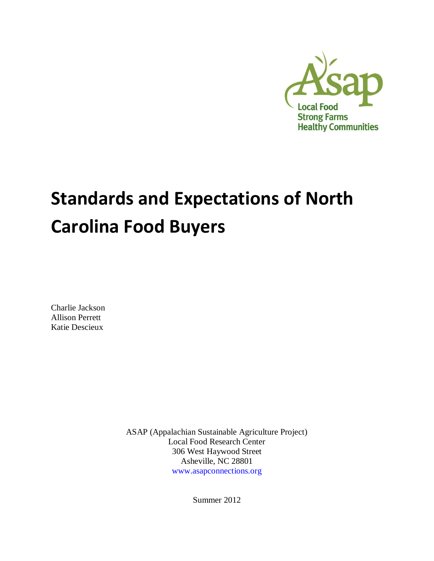

# **Standards and Expectations of North Carolina Food Buyers**

Charlie Jackson Allison Perrett Katie Descieux

> ASAP (Appalachian Sustainable Agriculture Project) Local Food Research Center 306 West Haywood Street Asheville, NC 28801 www.asapconnections.org

> > Summer 2012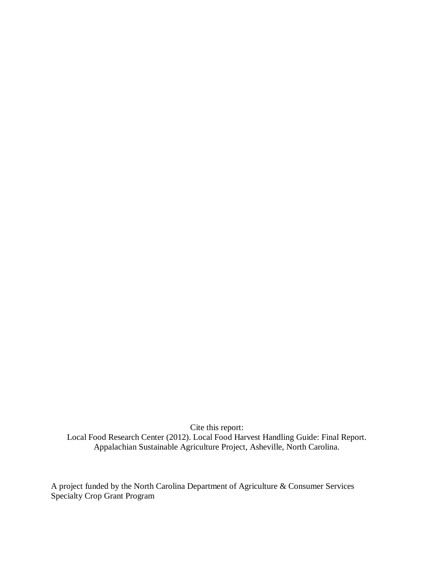Cite this report: Local Food Research Center (2012). Local Food Harvest Handling Guide: Final Report. Appalachian Sustainable Agriculture Project, Asheville, North Carolina.

A project funded by the North Carolina Department of Agriculture & Consumer Services Specialty Crop Grant Program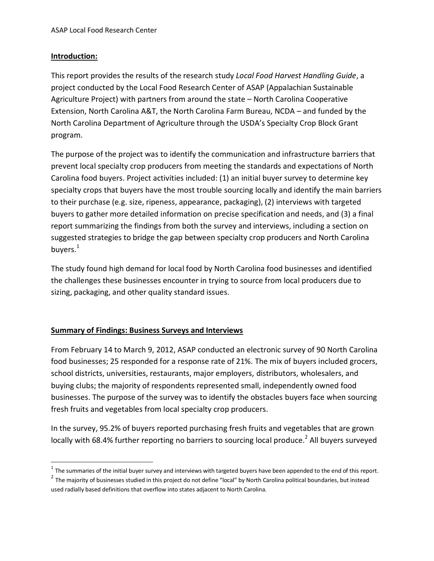#### **Introduction:**

This report provides the results of the research study *Local Food Harvest Handling Guide*, a project conducted by the Local Food Research Center of ASAP (Appalachian Sustainable Agriculture Project) with partners from around the state – North Carolina Cooperative Extension, North Carolina A&T, the North Carolina Farm Bureau, NCDA – and funded by the North Carolina Department of Agriculture through the USDA's Specialty Crop Block Grant program.

The purpose of the project was to identify the communication and infrastructure barriers that prevent local specialty crop producers from meeting the standards and expectations of North Carolina food buyers. Project activities included: (1) an initial buyer survey to determine key specialty crops that buyers have the most trouble sourcing locally and identify the main barriers to their purchase (e.g. size, ripeness, appearance, packaging), (2) interviews with targeted buyers to gather more detailed information on precise specification and needs, and (3) a final report summarizing the findings from both the survey and interviews, including a section on suggested strategies to bridge the gap between specialty crop producers and North Carolina buyers. $^{1}$ 

The study found high demand for local food by North Carolina food businesses and identified the challenges these businesses encounter in trying to source from local producers due to sizing, packaging, and other quality standard issues.

#### **Summary of Findings: Business Surveys and Interviews**

From February 14 to March 9, 2012, ASAP conducted an electronic survey of 90 North Carolina food businesses; 25 responded for a response rate of 21%. The mix of buyers included grocers, school districts, universities, restaurants, major employers, distributors, wholesalers, and buying clubs; the majority of respondents represented small, independently owned food businesses. The purpose of the survey was to identify the obstacles buyers face when sourcing fresh fruits and vegetables from local specialty crop producers.

In the survey, 95.2% of buyers reported purchasing fresh fruits and vegetables that are grown locally with 68.4% further reporting no barriers to sourcing local produce.<sup>2</sup> All buyers surveyed

 $\overline{\phantom{a}}$  $^1$  The summaries of the initial buyer survey and interviews with targeted buyers have been appended to the end of this report.

 $^2$  The majority of businesses studied in this project do not define "local" by North Carolina political boundaries, but instead used radially based definitions that overflow into states adjacent to North Carolina.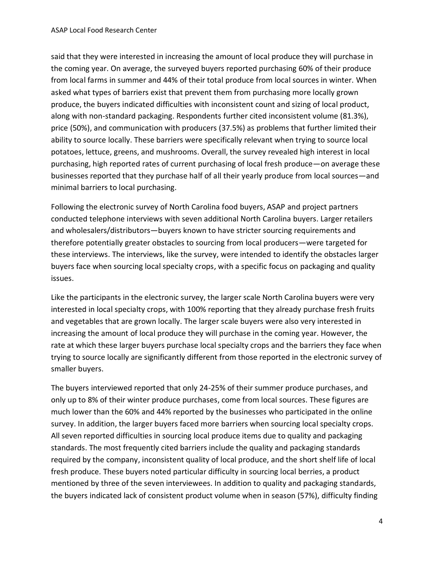said that they were interested in increasing the amount of local produce they will purchase in the coming year. On average, the surveyed buyers reported purchasing 60% of their produce from local farms in summer and 44% of their total produce from local sources in winter. When asked what types of barriers exist that prevent them from purchasing more locally grown produce, the buyers indicated difficulties with inconsistent count and sizing of local product, along with non-standard packaging. Respondents further cited inconsistent volume (81.3%), price (50%), and communication with producers (37.5%) as problems that further limited their ability to source locally. These barriers were specifically relevant when trying to source local potatoes, lettuce, greens, and mushrooms. Overall, the survey revealed high interest in local purchasing, high reported rates of current purchasing of local fresh produce—on average these businesses reported that they purchase half of all their yearly produce from local sources—and minimal barriers to local purchasing.

Following the electronic survey of North Carolina food buyers, ASAP and project partners conducted telephone interviews with seven additional North Carolina buyers. Larger retailers and wholesalers/distributors—buyers known to have stricter sourcing requirements and therefore potentially greater obstacles to sourcing from local producers—were targeted for these interviews. The interviews, like the survey, were intended to identify the obstacles larger buyers face when sourcing local specialty crops, with a specific focus on packaging and quality issues.

Like the participants in the electronic survey, the larger scale North Carolina buyers were very interested in local specialty crops, with 100% reporting that they already purchase fresh fruits and vegetables that are grown locally. The larger scale buyers were also very interested in increasing the amount of local produce they will purchase in the coming year. However, the rate at which these larger buyers purchase local specialty crops and the barriers they face when trying to source locally are significantly different from those reported in the electronic survey of smaller buyers.

The buyers interviewed reported that only 24-25% of their summer produce purchases, and only up to 8% of their winter produce purchases, come from local sources. These figures are much lower than the 60% and 44% reported by the businesses who participated in the online survey. In addition, the larger buyers faced more barriers when sourcing local specialty crops. All seven reported difficulties in sourcing local produce items due to quality and packaging standards. The most frequently cited barriers include the quality and packaging standards required by the company, inconsistent quality of local produce, and the short shelf life of local fresh produce. These buyers noted particular difficulty in sourcing local berries, a product mentioned by three of the seven interviewees. In addition to quality and packaging standards, the buyers indicated lack of consistent product volume when in season (57%), difficulty finding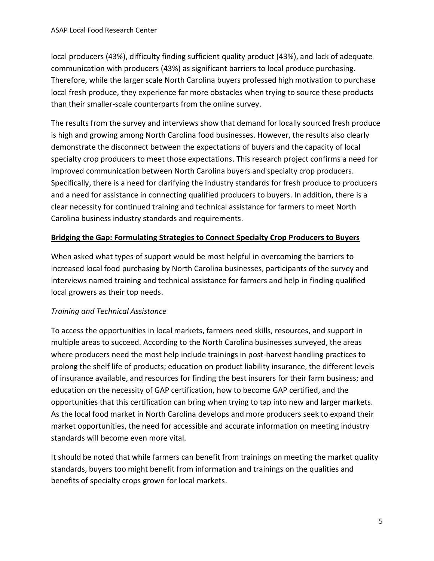local producers (43%), difficulty finding sufficient quality product (43%), and lack of adequate communication with producers (43%) as significant barriers to local produce purchasing. Therefore, while the larger scale North Carolina buyers professed high motivation to purchase local fresh produce, they experience far more obstacles when trying to source these products than their smaller-scale counterparts from the online survey.

The results from the survey and interviews show that demand for locally sourced fresh produce is high and growing among North Carolina food businesses. However, the results also clearly demonstrate the disconnect between the expectations of buyers and the capacity of local specialty crop producers to meet those expectations. This research project confirms a need for improved communication between North Carolina buyers and specialty crop producers. Specifically, there is a need for clarifying the industry standards for fresh produce to producers and a need for assistance in connecting qualified producers to buyers. In addition, there is a clear necessity for continued training and technical assistance for farmers to meet North Carolina business industry standards and requirements.

#### **Bridging the Gap: Formulating Strategies to Connect Specialty Crop Producers to Buyers**

When asked what types of support would be most helpful in overcoming the barriers to increased local food purchasing by North Carolina businesses, participants of the survey and interviews named training and technical assistance for farmers and help in finding qualified local growers as their top needs.

### *Training and Technical Assistance*

To access the opportunities in local markets, farmers need skills, resources, and support in multiple areas to succeed. According to the North Carolina businesses surveyed, the areas where producers need the most help include trainings in post-harvest handling practices to prolong the shelf life of products; education on product liability insurance, the different levels of insurance available, and resources for finding the best insurers for their farm business; and education on the necessity of GAP certification, how to become GAP certified, and the opportunities that this certification can bring when trying to tap into new and larger markets. As the local food market in North Carolina develops and more producers seek to expand their market opportunities, the need for accessible and accurate information on meeting industry standards will become even more vital.

It should be noted that while farmers can benefit from trainings on meeting the market quality standards, buyers too might benefit from information and trainings on the qualities and benefits of specialty crops grown for local markets.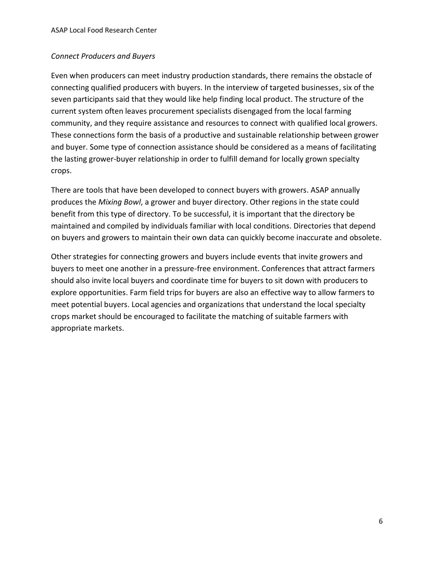# *Connect Producers and Buyers*

Even when producers can meet industry production standards, there remains the obstacle of connecting qualified producers with buyers. In the interview of targeted businesses, six of the seven participants said that they would like help finding local product. The structure of the current system often leaves procurement specialists disengaged from the local farming community, and they require assistance and resources to connect with qualified local growers. These connections form the basis of a productive and sustainable relationship between grower and buyer. Some type of connection assistance should be considered as a means of facilitating the lasting grower-buyer relationship in order to fulfill demand for locally grown specialty crops.

There are tools that have been developed to connect buyers with growers. ASAP annually produces the *Mixing Bowl*, a grower and buyer directory. Other regions in the state could benefit from this type of directory. To be successful, it is important that the directory be maintained and compiled by individuals familiar with local conditions. Directories that depend on buyers and growers to maintain their own data can quickly become inaccurate and obsolete.

Other strategies for connecting growers and buyers include events that invite growers and buyers to meet one another in a pressure-free environment. Conferences that attract farmers should also invite local buyers and coordinate time for buyers to sit down with producers to explore opportunities. Farm field trips for buyers are also an effective way to allow farmers to meet potential buyers. Local agencies and organizations that understand the local specialty crops market should be encouraged to facilitate the matching of suitable farmers with appropriate markets.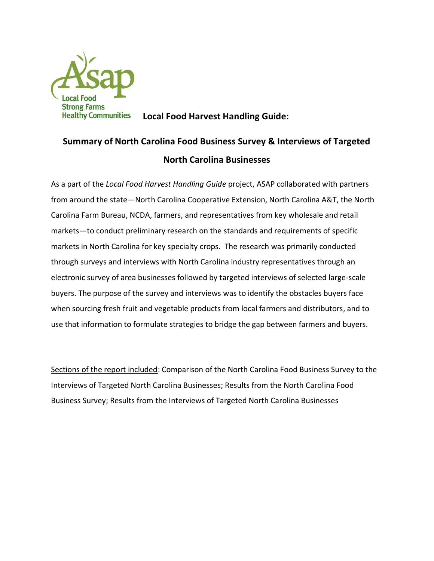

 **Local Food Harvest Handling Guide:** 

# **Summary of North Carolina Food Business Survey & Interviews of Targeted North Carolina Businesses**

As a part of the *Local Food Harvest Handling Guide* project, ASAP collaborated with partners from around the state—North Carolina Cooperative Extension, North Carolina A&T, the North Carolina Farm Bureau, NCDA, farmers, and representatives from key wholesale and retail markets—to conduct preliminary research on the standards and requirements of specific markets in North Carolina for key specialty crops. The research was primarily conducted through surveys and interviews with North Carolina industry representatives through an electronic survey of area businesses followed by targeted interviews of selected large-scale buyers. The purpose of the survey and interviews was to identify the obstacles buyers face when sourcing fresh fruit and vegetable products from local farmers and distributors, and to use that information to formulate strategies to bridge the gap between farmers and buyers.

Sections of the report included: Comparison of the North Carolina Food Business Survey to the Interviews of Targeted North Carolina Businesses; Results from the North Carolina Food Business Survey; Results from the Interviews of Targeted North Carolina Businesses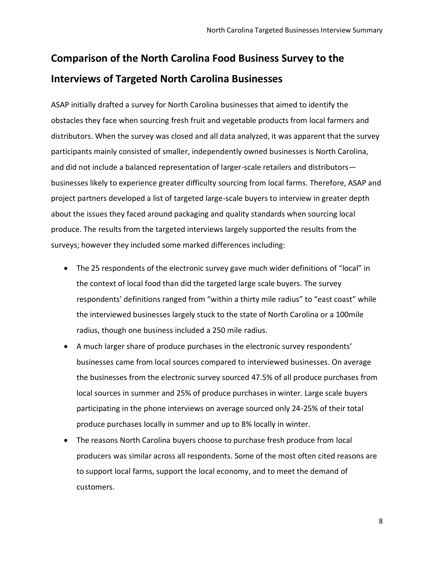# **Comparison of the North Carolina Food Business Survey to the Interviews of Targeted North Carolina Businesses**

ASAP initially drafted a survey for North Carolina businesses that aimed to identify the obstacles they face when sourcing fresh fruit and vegetable products from local farmers and distributors. When the survey was closed and all data analyzed, it was apparent that the survey participants mainly consisted of smaller, independently owned businesses is North Carolina, and did not include a balanced representation of larger-scale retailers and distributors businesses likely to experience greater difficulty sourcing from local farms. Therefore, ASAP and project partners developed a list of targeted large-scale buyers to interview in greater depth about the issues they faced around packaging and quality standards when sourcing local produce. The results from the targeted interviews largely supported the results from the surveys; however they included some marked differences including:

- The 25 respondents of the electronic survey gave much wider definitions of "local" in the context of local food than did the targeted large scale buyers. The survey respondents' definitions ranged from "within a thirty mile radius" to "east coast" while the interviewed businesses largely stuck to the state of North Carolina or a 100mile radius, though one business included a 250 mile radius.
- A much larger share of produce purchases in the electronic survey respondents' businesses came from local sources compared to interviewed businesses. On average the businesses from the electronic survey sourced 47.5% of all produce purchases from local sources in summer and 25% of produce purchases in winter. Large scale buyers participating in the phone interviews on average sourced only 24-25% of their total produce purchases locally in summer and up to 8% locally in winter.
- The reasons North Carolina buyers choose to purchase fresh produce from local producers was similar across all respondents. Some of the most often cited reasons are to support local farms, support the local economy, and to meet the demand of customers.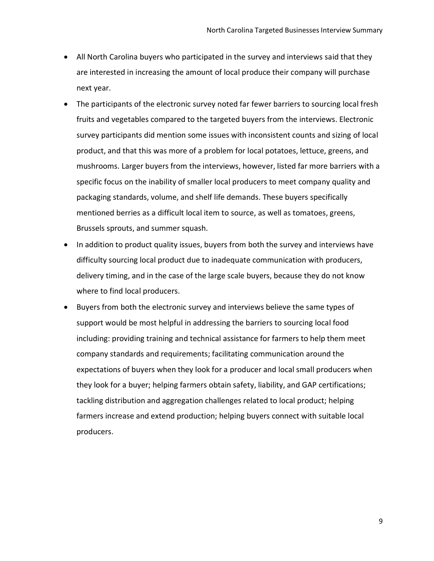- All North Carolina buyers who participated in the survey and interviews said that they are interested in increasing the amount of local produce their company will purchase next year.
- The participants of the electronic survey noted far fewer barriers to sourcing local fresh fruits and vegetables compared to the targeted buyers from the interviews. Electronic survey participants did mention some issues with inconsistent counts and sizing of local product, and that this was more of a problem for local potatoes, lettuce, greens, and mushrooms. Larger buyers from the interviews, however, listed far more barriers with a specific focus on the inability of smaller local producers to meet company quality and packaging standards, volume, and shelf life demands. These buyers specifically mentioned berries as a difficult local item to source, as well as tomatoes, greens, Brussels sprouts, and summer squash.
- In addition to product quality issues, buyers from both the survey and interviews have difficulty sourcing local product due to inadequate communication with producers, delivery timing, and in the case of the large scale buyers, because they do not know where to find local producers.
- Buyers from both the electronic survey and interviews believe the same types of support would be most helpful in addressing the barriers to sourcing local food including: providing training and technical assistance for farmers to help them meet company standards and requirements; facilitating communication around the expectations of buyers when they look for a producer and local small producers when they look for a buyer; helping farmers obtain safety, liability, and GAP certifications; tackling distribution and aggregation challenges related to local product; helping farmers increase and extend production; helping buyers connect with suitable local producers.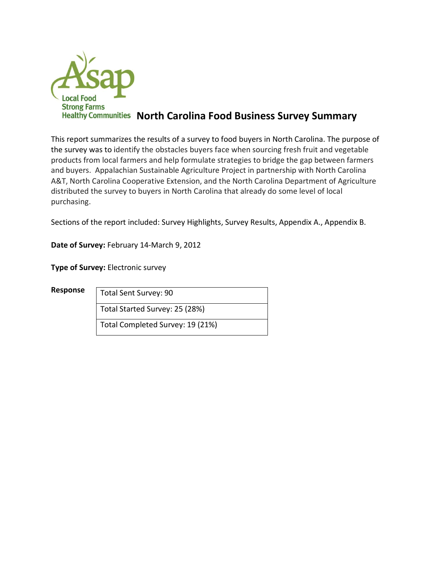

This report summarizes the results of a survey to food buyers in North Carolina. The purpose of the survey was to identify the obstacles buyers face when sourcing fresh fruit and vegetable products from local farmers and help formulate strategies to bridge the gap between farmers and buyers. Appalachian Sustainable Agriculture Project in partnership with North Carolina A&T, North Carolina Cooperative Extension, and the North Carolina Department of Agriculture distributed the survey to buyers in North Carolina that already do some level of local purchasing.

Sections of the report included: Survey Highlights, Survey Results, Appendix A., Appendix B.

**Date of Survey:** February 14-March 9, 2012

**Type of Survey:** Electronic survey

**Response** Total Sent Survey: 90

Total Started Survey: 25 (28%)

Total Completed Survey: 19 (21%)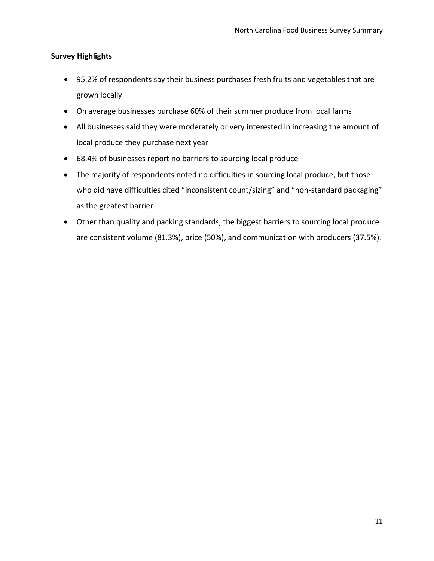# **Survey Highlights**

- 95.2% of respondents say their business purchases fresh fruits and vegetables that are grown locally
- On average businesses purchase 60% of their summer produce from local farms
- All businesses said they were moderately or very interested in increasing the amount of local produce they purchase next year
- 68.4% of businesses report no barriers to sourcing local produce
- The majority of respondents noted no difficulties in sourcing local produce, but those who did have difficulties cited "inconsistent count/sizing" and "non-standard packaging" as the greatest barrier
- Other than quality and packing standards, the biggest barriers to sourcing local produce are consistent volume (81.3%), price (50%), and communication with producers (37.5%).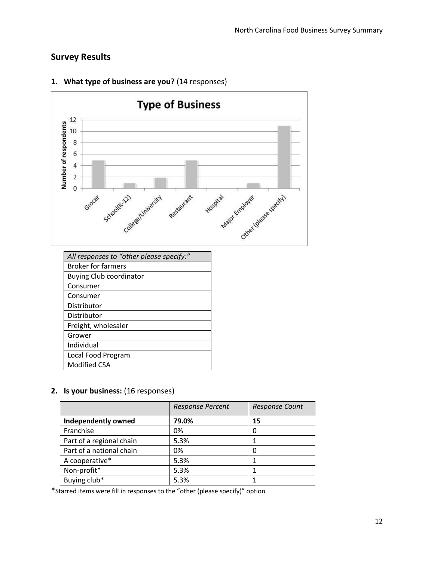# **Survey Results**



## **1. What type of business are you?** (14 responses)

# **2. Is your business:** (16 responses)

|                            | <b>Response Percent</b> | <b>Response Count</b> |
|----------------------------|-------------------------|-----------------------|
| <b>Independently owned</b> | 79.0%                   | 15                    |
| Franchise                  | 0%                      | 0                     |
| Part of a regional chain   | 5.3%                    |                       |
| Part of a national chain   | 0%                      |                       |
| A cooperative*             | 5.3%                    |                       |
| Non-profit*                | 5.3%                    |                       |
| Buying club*               | 5.3%                    |                       |

\*Starred items were fill in responses to the "other (please specify)" option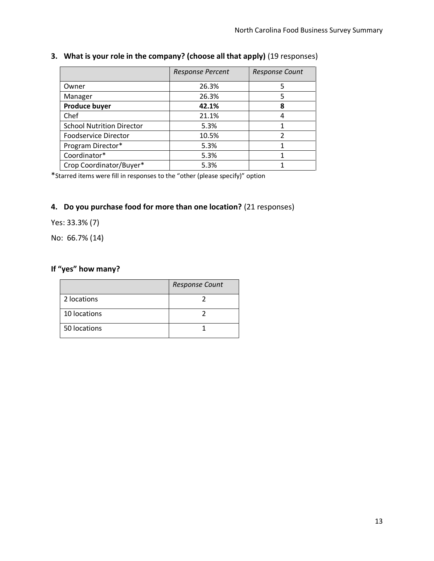|                                  | <b>Response Percent</b> | <b>Response Count</b> |
|----------------------------------|-------------------------|-----------------------|
| Owner                            | 26.3%                   | 5                     |
| Manager                          | 26.3%                   | 5                     |
| <b>Produce buyer</b>             | 42.1%                   | 8                     |
| Chef                             | 21.1%                   |                       |
| <b>School Nutrition Director</b> | 5.3%                    |                       |
| Foodservice Director             | 10.5%                   |                       |
| Program Director*                | 5.3%                    |                       |
| Coordinator*                     | 5.3%                    |                       |
| Crop Coordinator/Buyer*          | 5.3%                    |                       |

# **3. What is your role in the company? (choose all that apply)** (19 responses)

\*Starred items were fill in responses to the "other (please specify)" option

# **4. Do you purchase food for more than one location?** (21 responses)

Yes: 33.3% (7)

No: 66.7% (14)

# **If "yes" how many?**

|              | <b>Response Count</b> |
|--------------|-----------------------|
| 2 locations  |                       |
| 10 locations |                       |
| 50 locations |                       |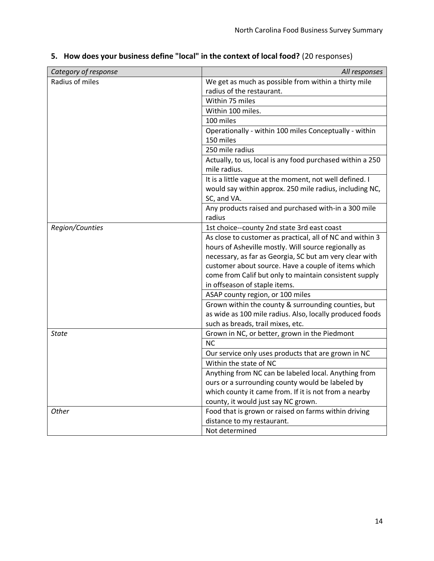| Category of response | All responses                                             |
|----------------------|-----------------------------------------------------------|
| Radius of miles      | We get as much as possible from within a thirty mile      |
|                      | radius of the restaurant.                                 |
|                      | Within 75 miles                                           |
|                      | Within 100 miles.                                         |
|                      | 100 miles                                                 |
|                      | Operationally - within 100 miles Conceptually - within    |
|                      | 150 miles                                                 |
|                      | 250 mile radius                                           |
|                      | Actually, to us, local is any food purchased within a 250 |
|                      | mile radius.                                              |
|                      | It is a little vague at the moment, not well defined. I   |
|                      | would say within approx. 250 mile radius, including NC,   |
|                      | SC, and VA.                                               |
|                      | Any products raised and purchased with-in a 300 mile      |
|                      | radius                                                    |
| Region/Counties      | 1st choice--county 2nd state 3rd east coast               |
|                      | As close to customer as practical, all of NC and within 3 |
|                      | hours of Asheville mostly. Will source regionally as      |
|                      | necessary, as far as Georgia, SC but am very clear with   |
|                      | customer about source. Have a couple of items which       |
|                      | come from Calif but only to maintain consistent supply    |
|                      | in offseason of staple items.                             |
|                      | ASAP county region, or 100 miles                          |
|                      | Grown within the county & surrounding counties, but       |
|                      | as wide as 100 mile radius. Also, locally produced foods  |
|                      | such as breads, trail mixes, etc.                         |
| <b>State</b>         | Grown in NC, or better, grown in the Piedmont             |
|                      | <b>NC</b>                                                 |
|                      | Our service only uses products that are grown in NC       |
|                      | Within the state of NC                                    |
|                      | Anything from NC can be labeled local. Anything from      |
|                      | ours or a surrounding county would be labeled by          |
|                      | which county it came from. If it is not from a nearby     |
|                      | county, it would just say NC grown.                       |
| Other                | Food that is grown or raised on farms within driving      |
|                      | distance to my restaurant.                                |
|                      | Not determined                                            |

# **5. How does your business define "local" in the context of local food?** (20 responses)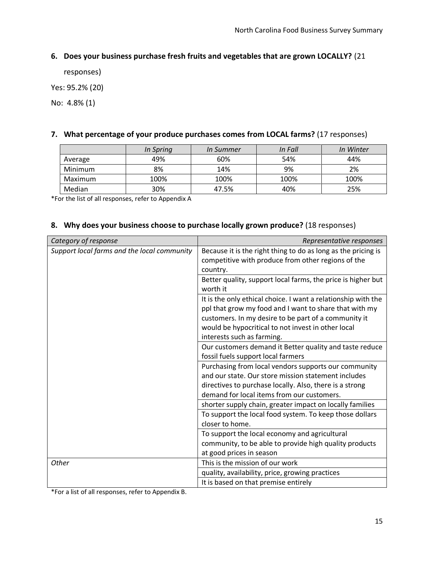# **6. Does your business purchase fresh fruits and vegetables that are grown LOCALLY?** (21

responses)

Yes: 95.2% (20)

No: 4.8% (1)

## **7. What percentage of your produce purchases comes from LOCAL farms?** (17 responses)

|         | In Spring | In Summer | In Fall | In Winter |
|---------|-----------|-----------|---------|-----------|
| Average | 49%       | 60%       | 54%     | 44%       |
| Minimum | 8%        | 14%       | 9%      | 2%        |
| Maximum | 100%      | 100%      | 100%    | 100%      |
| Median  | 30%       | 47.5%     | 40%     | 25%       |

\*For the list of all responses, refer to Appendix A

#### **8. Why does your business choose to purchase locally grown produce?** (18 responses)

| Category of response                        | Representative responses                                                                                                                                                                                                                                            |
|---------------------------------------------|---------------------------------------------------------------------------------------------------------------------------------------------------------------------------------------------------------------------------------------------------------------------|
| Support local farms and the local community | Because it is the right thing to do as long as the pricing is<br>competitive with produce from other regions of the<br>country.                                                                                                                                     |
|                                             | Better quality, support local farms, the price is higher but<br>worth it                                                                                                                                                                                            |
|                                             | It is the only ethical choice. I want a relationship with the<br>ppl that grow my food and I want to share that with my<br>customers. In my desire to be part of a community it<br>would be hypocritical to not invest in other local<br>interests such as farming. |
|                                             | Our customers demand it Better quality and taste reduce<br>fossil fuels support local farmers                                                                                                                                                                       |
|                                             | Purchasing from local vendors supports our community<br>and our state. Our store mission statement includes<br>directives to purchase locally. Also, there is a strong<br>demand for local items from our customers.                                                |
|                                             | shorter supply chain, greater impact on locally families                                                                                                                                                                                                            |
|                                             | To support the local food system. To keep those dollars<br>closer to home.                                                                                                                                                                                          |
|                                             | To support the local economy and agricultural<br>community, to be able to provide high quality products<br>at good prices in season                                                                                                                                 |
| <b>Other</b>                                | This is the mission of our work                                                                                                                                                                                                                                     |
|                                             | quality, availability, price, growing practices                                                                                                                                                                                                                     |
|                                             | It is based on that premise entirely                                                                                                                                                                                                                                |

\*For a list of all responses, refer to Appendix B.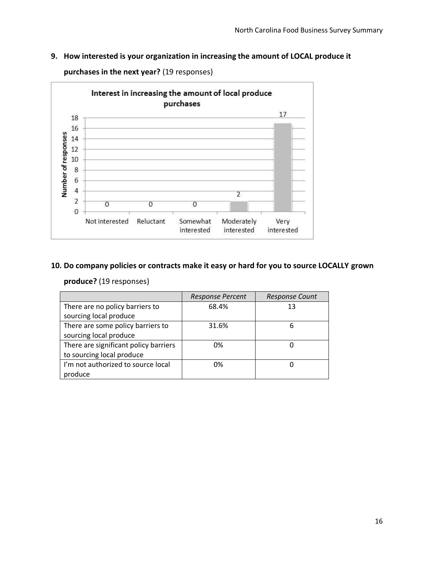# **9. How interested is your organization in increasing the amount of LOCAL produce it**



**purchases in the next year?** (19 responses)

## **10. Do company policies or contracts make it easy or hard for you to source LOCALLY grown**

|                                       | <b>Response Percent</b> | <b>Response Count</b> |
|---------------------------------------|-------------------------|-----------------------|
| There are no policy barriers to       | 68.4%                   | 13                    |
| sourcing local produce                |                         |                       |
| There are some policy barriers to     | 31.6%                   | 6                     |
| sourcing local produce                |                         |                       |
| There are significant policy barriers | 0%                      |                       |
| to sourcing local produce             |                         |                       |
| I'm not authorized to source local    | 0%                      |                       |
| produce                               |                         |                       |

#### **produce?** (19 responses)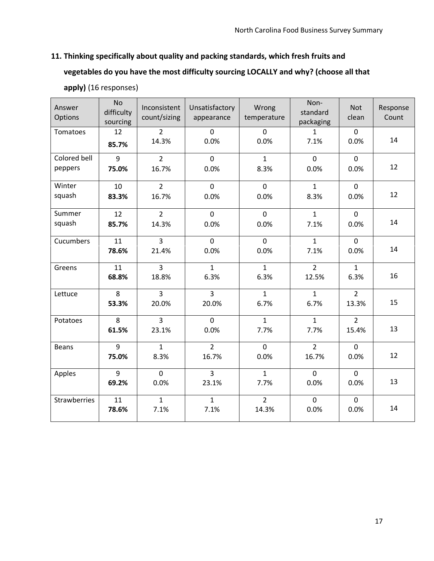# **11. Thinking specifically about quality and packing standards, which fresh fruits and vegetables do you have the most difficulty sourcing LOCALLY and why? (choose all that**

| Answer<br>Options   | <b>No</b><br>difficulty<br>sourcing | Inconsistent<br>count/sizing | Unsatisfactory<br>appearance | Wrong<br>temperature | Non-<br>standard<br>packaging | <b>Not</b><br>clean | Response<br>Count |
|---------------------|-------------------------------------|------------------------------|------------------------------|----------------------|-------------------------------|---------------------|-------------------|
| Tomatoes            | 12                                  | $\overline{2}$               | $\mathbf 0$                  | $\mathbf{0}$         | $\mathbf{1}$                  | $\mathbf 0$         |                   |
|                     | 85.7%                               | 14.3%                        | 0.0%                         | 0.0%                 | 7.1%                          | 0.0%                | 14                |
| Colored bell        | $\overline{9}$                      | $\overline{2}$               | $\mathbf 0$                  | $\mathbf{1}$         | $\mathbf 0$                   | $\mathbf{0}$        |                   |
| peppers             | 75.0%                               | 16.7%                        | 0.0%                         | 8.3%                 | 0.0%                          | 0.0%                | 12                |
| Winter              | 10                                  | $\overline{2}$               | $\mathbf 0$                  | $\mathbf 0$          | $\mathbf{1}$                  | $\mathbf 0$         |                   |
| squash              | 83.3%                               | 16.7%                        | 0.0%                         | 0.0%                 | 8.3%                          | 0.0%                | 12                |
| Summer              | 12                                  | $\overline{2}$               | $\mathbf 0$                  | $\mathbf{0}$         | $\mathbf{1}$                  | $\mathbf 0$         |                   |
| squash              | 85.7%                               | 14.3%                        | 0.0%                         | 0.0%                 | 7.1%                          | 0.0%                | 14                |
| Cucumbers           | 11                                  | $\overline{3}$               | $\mathbf 0$                  | $\Omega$             | $\mathbf{1}$                  | $\Omega$            |                   |
|                     | 78.6%                               | 21.4%                        | 0.0%                         | 0.0%                 | 7.1%                          | 0.0%                | 14                |
| Greens              | 11                                  | $\overline{3}$               | $\mathbf{1}$                 | $\mathbf{1}$         | $\overline{2}$                | $\mathbf{1}$        |                   |
|                     | 68.8%                               | 18.8%                        | 6.3%                         | 6.3%                 | 12.5%                         | 6.3%                | 16                |
| Lettuce             | 8                                   | $\overline{3}$               | $\overline{3}$               | $\mathbf{1}$         | $\mathbf{1}$                  | $\overline{2}$      |                   |
|                     | 53.3%                               | 20.0%                        | 20.0%                        | 6.7%                 | 6.7%                          | 13.3%               | 15                |
| Potatoes            | 8                                   | $\overline{3}$               | $\mathbf{0}$                 | $\mathbf{1}$         | $\mathbf{1}$                  | $\overline{2}$      |                   |
|                     | 61.5%                               | 23.1%                        | 0.0%                         | 7.7%                 | 7.7%                          | 15.4%               | 13                |
| Beans               | 9                                   | $\mathbf{1}$                 | $\overline{2}$               | $\mathbf{0}$         | $\overline{2}$                | $\mathbf{0}$        |                   |
|                     | 75.0%                               | 8.3%                         | 16.7%                        | 0.0%                 | 16.7%                         | 0.0%                | 12                |
| Apples              | 9                                   | $\mathbf 0$                  | $\overline{3}$               | $\mathbf{1}$         | $\overline{0}$                | $\mathbf 0$         |                   |
|                     | 69.2%                               | 0.0%                         | 23.1%                        | 7.7%                 | 0.0%                          | 0.0%                | 13                |
| <b>Strawberries</b> | 11                                  | $\mathbf{1}$                 | $\mathbf{1}$                 | $\overline{2}$       | $\mathbf 0$                   | $\mathbf{0}$        |                   |
|                     | 78.6%                               | 7.1%                         | 7.1%                         | 14.3%                | 0.0%                          | 0.0%                | 14                |

**apply)** (16 responses)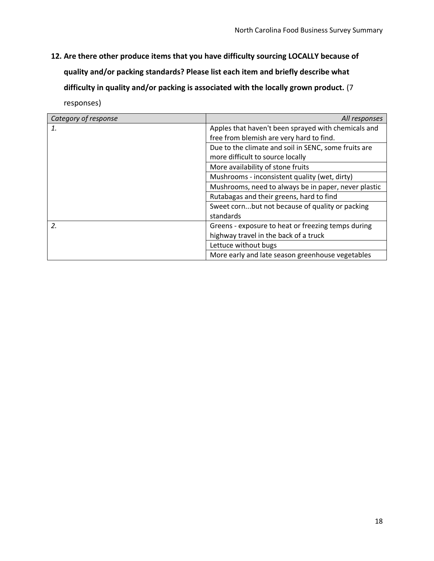**12. Are there other produce items that you have difficulty sourcing LOCALLY because of quality and/or packing standards? Please list each item and briefly describe what difficulty in quality and/or packing is associated with the locally grown product.** (7 responses)

| Category of response | All responses                                        |  |
|----------------------|------------------------------------------------------|--|
| 1.                   | Apples that haven't been sprayed with chemicals and  |  |
|                      | free from blemish are very hard to find.             |  |
|                      | Due to the climate and soil in SENC, some fruits are |  |
|                      | more difficult to source locally                     |  |
|                      | More availability of stone fruits                    |  |
|                      | Mushrooms - inconsistent quality (wet, dirty)        |  |
|                      | Mushrooms, need to always be in paper, never plastic |  |
|                      | Rutabagas and their greens, hard to find             |  |
|                      | Sweet cornbut not because of quality or packing      |  |
|                      | standards                                            |  |
| 2.                   | Greens - exposure to heat or freezing temps during   |  |
|                      | highway travel in the back of a truck                |  |
|                      | Lettuce without bugs                                 |  |
|                      | More early and late season greenhouse vegetables     |  |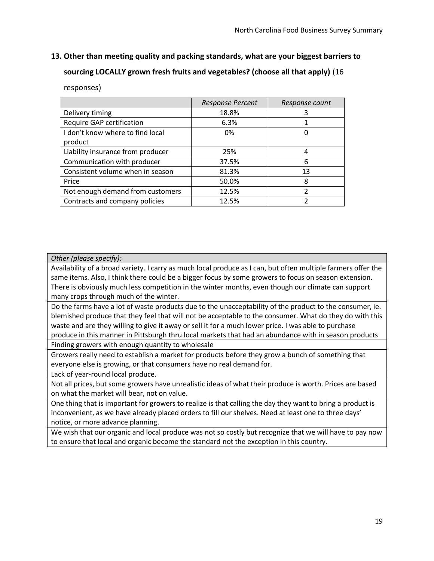#### **13. Other than meeting quality and packing standards, what are your biggest barriers to**

#### **sourcing LOCALLY grown fresh fruits and vegetables? (choose all that apply)** (16

responses)

|                                   | <b>Response Percent</b> | Response count |
|-----------------------------------|-------------------------|----------------|
| Delivery timing                   | 18.8%                   | 3              |
| Require GAP certification         | 6.3%                    |                |
| I don't know where to find local  | 0%                      | O              |
| product                           |                         |                |
| Liability insurance from producer | 25%                     |                |
| Communication with producer       | 37.5%                   | 6              |
| Consistent volume when in season  | 81.3%                   | 13             |
| Price                             | 50.0%                   | 8              |
| Not enough demand from customers  | 12.5%                   |                |
| Contracts and company policies    | 12.5%                   |                |

| Other (please specify): |  |  |
|-------------------------|--|--|
|                         |  |  |

Availability of a broad variety. I carry as much local produce as I can, but often multiple farmers offer the same items. Also, I think there could be a bigger focus by some growers to focus on season extension. There is obviously much less competition in the winter months, even though our climate can support many crops through much of the winter.

Do the farms have a lot of waste products due to the unacceptability of the product to the consumer, ie. blemished produce that they feel that will not be acceptable to the consumer. What do they do with this waste and are they willing to give it away or sell it for a much lower price. I was able to purchase produce in this manner in Pittsburgh thru local markets that had an abundance with in season products

Finding growers with enough quantity to wholesale

Growers really need to establish a market for products before they grow a bunch of something that everyone else is growing, or that consumers have no real demand for.

Lack of year-round local produce.

Not all prices, but some growers have unrealistic ideas of what their produce is worth. Prices are based on what the market will bear, not on value.

One thing that is important for growers to realize is that calling the day they want to bring a product is inconvenient, as we have already placed orders to fill our shelves. Need at least one to three days' notice, or more advance planning.

We wish that our organic and local produce was not so costly but recognize that we will have to pay now to ensure that local and organic become the standard not the exception in this country.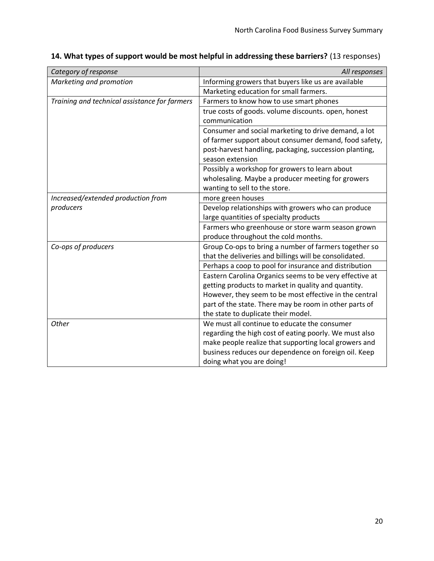| Category of response                          | All responses                                           |
|-----------------------------------------------|---------------------------------------------------------|
| Marketing and promotion                       | Informing growers that buyers like us are available     |
|                                               | Marketing education for small farmers.                  |
| Training and technical assistance for farmers | Farmers to know how to use smart phones                 |
|                                               | true costs of goods. volume discounts. open, honest     |
|                                               | communication                                           |
|                                               | Consumer and social marketing to drive demand, a lot    |
|                                               | of farmer support about consumer demand, food safety,   |
|                                               | post-harvest handling, packaging, succession planting,  |
|                                               | season extension                                        |
|                                               | Possibly a workshop for growers to learn about          |
|                                               | wholesaling. Maybe a producer meeting for growers       |
|                                               | wanting to sell to the store.                           |
| Increased/extended production from            | more green houses                                       |
| producers                                     | Develop relationships with growers who can produce      |
|                                               | large quantities of specialty products                  |
|                                               | Farmers who greenhouse or store warm season grown       |
|                                               | produce throughout the cold months.                     |
| Co-ops of producers                           | Group Co-ops to bring a number of farmers together so   |
|                                               | that the deliveries and billings will be consolidated.  |
|                                               | Perhaps a coop to pool for insurance and distribution   |
|                                               | Eastern Carolina Organics seems to be very effective at |
|                                               | getting products to market in quality and quantity.     |
|                                               | However, they seem to be most effective in the central  |
|                                               | part of the state. There may be room in other parts of  |
|                                               | the state to duplicate their model.                     |
| <b>Other</b>                                  | We must all continue to educate the consumer            |
|                                               | regarding the high cost of eating poorly. We must also  |
|                                               | make people realize that supporting local growers and   |
|                                               | business reduces our dependence on foreign oil. Keep    |
|                                               | doing what you are doing!                               |

# **14. What types of support would be most helpful in addressing these barriers?** (13 responses)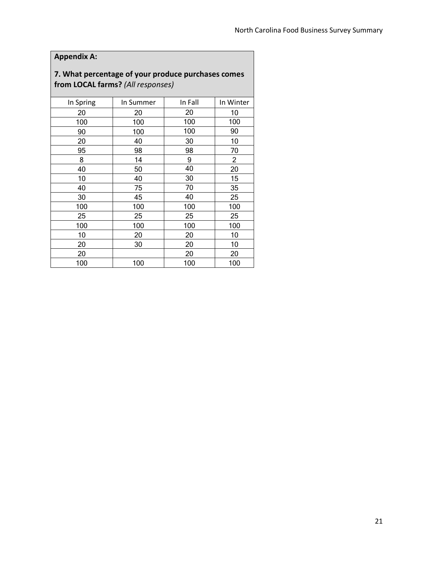# **Appendix A:**

# **7. What percentage of your produce purchases comes from LOCAL farms?** *(All responses)*

| In Spring | In Summer | In Fall | In Winter |
|-----------|-----------|---------|-----------|
| 20        | 20        | 20      | 10        |
| 100       | 100       | 100     | 100       |
| 90        | 100       | 100     | 90        |
| 20        | 40        | 30      | 10        |
| 95        | 98        | 98      | 70        |
| 8         | 14        | 9       | 2         |
| 40        | 50        | 40      | 20        |
| 10        | 40        | 30      | 15        |
| 40        | 75        | 70      | 35        |
| 30        | 45        | 40      | 25        |
| 100       | 100       | 100     | 100       |
| 25        | 25        | 25      | 25        |
| 100       | 100       | 100     | 100       |
| 10        | 20        | 20      | 10        |
| 20        | 30        | 20      | 10        |
| 20        |           | 20      | 20        |
| 100       | 100       | 100     | 100       |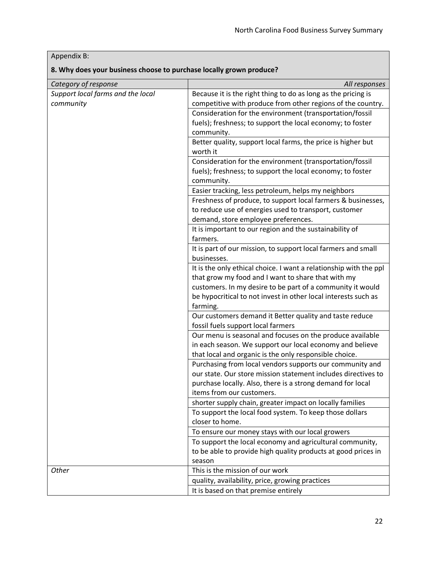Appendix B:

# **8. Why does your business choose to purchase locally grown produce?**

| Category of response              | All responses                                                            |
|-----------------------------------|--------------------------------------------------------------------------|
| Support local farms and the local | Because it is the right thing to do as long as the pricing is            |
| community                         | competitive with produce from other regions of the country.              |
|                                   |                                                                          |
|                                   | Consideration for the environment (transportation/fossil                 |
|                                   | fuels); freshness; to support the local economy; to foster               |
|                                   | community.                                                               |
|                                   | Better quality, support local farms, the price is higher but             |
|                                   | worth it                                                                 |
|                                   | Consideration for the environment (transportation/fossil                 |
|                                   | fuels); freshness; to support the local economy; to foster<br>community. |
|                                   | Easier tracking, less petroleum, helps my neighbors                      |
|                                   |                                                                          |
|                                   | Freshness of produce, to support local farmers & businesses,             |
|                                   | to reduce use of energies used to transport, customer                    |
|                                   | demand, store employee preferences.                                      |
|                                   | It is important to our region and the sustainability of<br>farmers.      |
|                                   |                                                                          |
|                                   | It is part of our mission, to support local farmers and small            |
|                                   | businesses.                                                              |
|                                   | It is the only ethical choice. I want a relationship with the ppl        |
|                                   | that grow my food and I want to share that with my                       |
|                                   | customers. In my desire to be part of a community it would               |
|                                   | be hypocritical to not invest in other local interests such as           |
|                                   | farming.                                                                 |
|                                   | Our customers demand it Better quality and taste reduce                  |
|                                   | fossil fuels support local farmers                                       |
|                                   | Our menu is seasonal and focuses on the produce available                |
|                                   | in each season. We support our local economy and believe                 |
|                                   | that local and organic is the only responsible choice.                   |
|                                   | Purchasing from local vendors supports our community and                 |
|                                   | our state. Our store mission statement includes directives to            |
|                                   | purchase locally. Also, there is a strong demand for local               |
|                                   | items from our customers.                                                |
|                                   | shorter supply chain, greater impact on locally families                 |
|                                   | To support the local food system. To keep those dollars                  |
|                                   | closer to home.                                                          |
|                                   | To ensure our money stays with our local growers                         |
|                                   | To support the local economy and agricultural community,                 |
|                                   | to be able to provide high quality products at good prices in            |
|                                   | season                                                                   |
| <b>Other</b>                      | This is the mission of our work                                          |
|                                   | quality, availability, price, growing practices                          |
|                                   | It is based on that premise entirely                                     |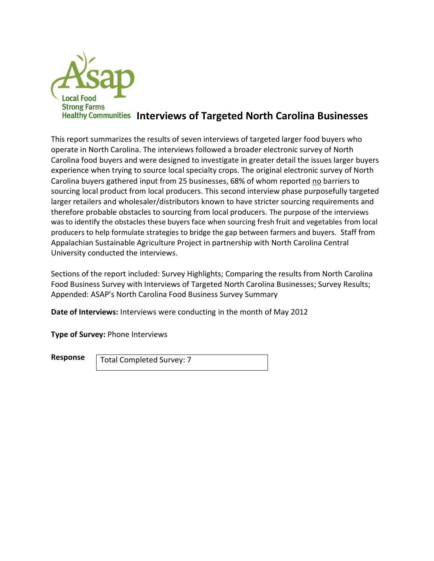

This report summarizes the results of seven interviews of targeted larger food buyers who operate in North Carolina. The interviews followed a broader electronic survey of North Carolina food buyers and were designed to investigate in greater detail the issues larger buyers experience when trying to source local specialty crops. The original electronic survey of North Carolina buyers gathered input from 25 businesses, 68% of whom reported no barriers to sourcing local product from local producers. This second interview phase purposefully targeted larger retailers and wholesaler/distributors known to have stricter sourcing requirements and therefore probable obstacles to sourcing from local producers. The purpose of the interviews was to identify the obstacles these buyers face when sourcing fresh fruit and vegetables from local producers to help formulate strategies to bridge the gap between farmers and buyers. Staff from Appalachian Sustainable Agriculture Project in partnership with North Carolina Central University conducted the interviews.

Sections of the report included: Survey Highlights; Comparing the results from North Carolina Food Business Survey with Interviews of Targeted North Carolina Businesses; Survey Results; Appended: ASAP's North Carolina Food Business Survey Summary

**Date of Interviews:** Interviews were conducting in the month of May 2012

**Type of Survey:** Phone Interviews

**Response Total Completed Survey: 7**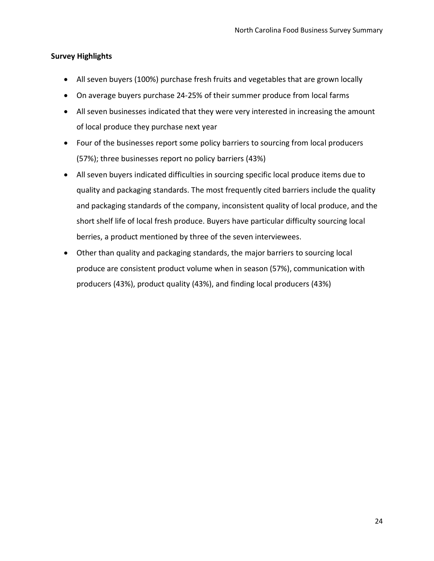# **Survey Highlights**

- All seven buyers (100%) purchase fresh fruits and vegetables that are grown locally
- On average buyers purchase 24-25% of their summer produce from local farms
- All seven businesses indicated that they were very interested in increasing the amount of local produce they purchase next year
- Four of the businesses report some policy barriers to sourcing from local producers (57%); three businesses report no policy barriers (43%)
- All seven buyers indicated difficulties in sourcing specific local produce items due to quality and packaging standards. The most frequently cited barriers include the quality and packaging standards of the company, inconsistent quality of local produce, and the short shelf life of local fresh produce. Buyers have particular difficulty sourcing local berries, a product mentioned by three of the seven interviewees.
- Other than quality and packaging standards, the major barriers to sourcing local produce are consistent product volume when in season (57%), communication with producers (43%), product quality (43%), and finding local producers (43%)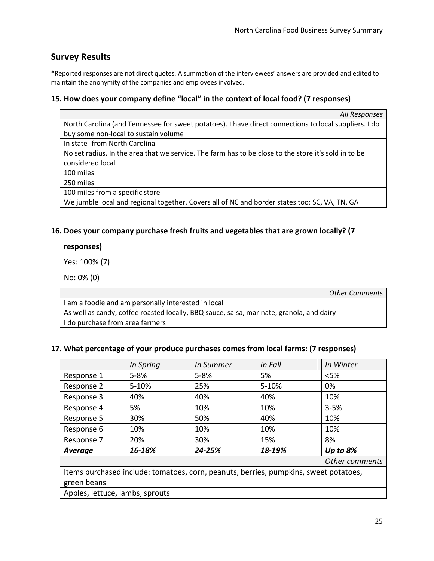# **Survey Results**

\*Reported responses are not direct quotes. A summation of the interviewees' answers are provided and edited to maintain the anonymity of the companies and employees involved.

#### **15. How does your company define "local" in the context of local food? (7 responses)**

| All Responses                                                                                         |
|-------------------------------------------------------------------------------------------------------|
| North Carolina (and Tennessee for sweet potatoes). I have direct connections to local suppliers. I do |
| buy some non-local to sustain volume                                                                  |
| In state-from North Carolina                                                                          |
| No set radius. In the area that we service. The farm has to be close to the store it's sold in to be  |
| considered local                                                                                      |
| 100 miles                                                                                             |
| 250 miles                                                                                             |
| 100 miles from a specific store                                                                       |
| We jumble local and regional together. Covers all of NC and border states too: SC, VA, TN, GA         |

#### **16. Does your company purchase fresh fruits and vegetables that are grown locally? (7**

## **responses)**

Yes: 100% (7)

No: 0% (0)

*Other Comments* I am a foodie and am personally interested in local As well as candy, coffee roasted locally, BBQ sauce, salsa, marinate, granola, and dairy I do purchase from area farmers

#### **17. What percentage of your produce purchases comes from local farms: (7 responses)**

|                                                                                      | In Spring | In Summer | In Fall   | In Winter  |
|--------------------------------------------------------------------------------------|-----------|-----------|-----------|------------|
| Response 1                                                                           | $5 - 8%$  | $5 - 8%$  | 5%        | $<$ 5%     |
| Response 2                                                                           | $5 - 10%$ | 25%       | $5 - 10%$ | 0%         |
| Response 3                                                                           | 40%       | 40%       | 40%       | 10%        |
| Response 4                                                                           | 5%        | 10%       | 10%       | $3 - 5%$   |
| Response 5                                                                           | 30%       | 50%       | 40%       | 10%        |
| Response 6                                                                           | 10%       | 10%       | 10%       | 10%        |
| Response 7                                                                           | 20%       | 30%       | 15%       | 8%         |
| <b>Average</b>                                                                       | 16-18%    | 24-25%    | 18-19%    | Up to $8%$ |
| Other comments                                                                       |           |           |           |            |
| Items purchased include: tomatoes, corn, peanuts, berries, pumpkins, sweet potatoes, |           |           |           |            |
| green beans                                                                          |           |           |           |            |
| Apples, lettuce, lambs, sprouts                                                      |           |           |           |            |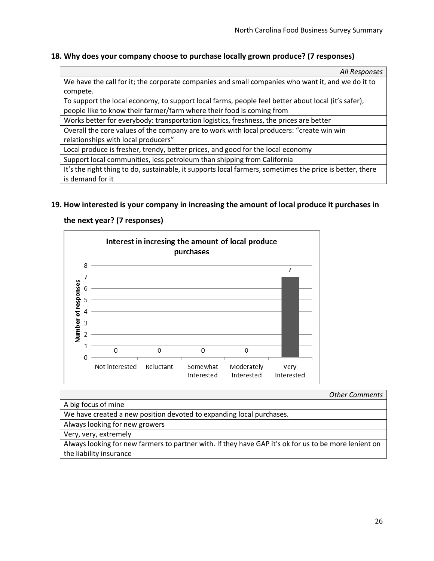### **18. Why does your company choose to purchase locally grown produce? (7 responses)**

| All Responses                                                                                            |
|----------------------------------------------------------------------------------------------------------|
| We have the call for it; the corporate companies and small companies who want it, and we do it to        |
| compete.                                                                                                 |
| To support the local economy, to support local farms, people feel better about local (it's safer),       |
| people like to know their farmer/farm where their food is coming from                                    |
| Works better for everybody: transportation logistics, freshness, the prices are better                   |
| Overall the core values of the company are to work with local producers: "create win win                 |
| relationships with local producers"                                                                      |
| Local produce is fresher, trendy, better prices, and good for the local economy                          |
| Support local communities, less petroleum than shipping from California                                  |
| It's the right thing to do, sustainable, it supports local farmers, sometimes the price is better, there |

is demand for it

#### **19. How interested is your company in increasing the amount of local produce it purchases in**

#### **the next year? (7 responses)**



*Other Comments*

A big focus of mine

We have created a new position devoted to expanding local purchases.

Always looking for new growers

Very, very, extremely

Always looking for new farmers to partner with. If they have GAP it's ok for us to be more lenient on the liability insurance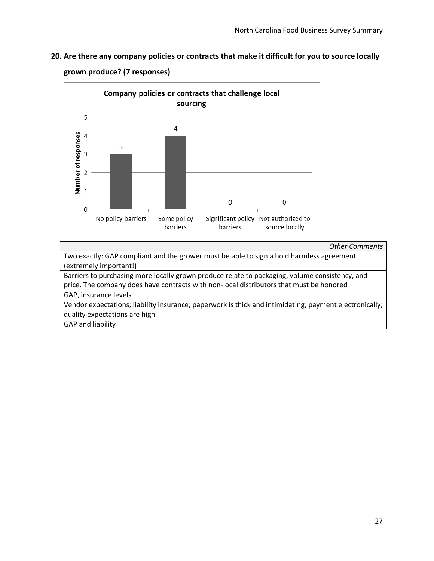**20. Are there any company policies or contracts that make it difficult for you to source locally** 



**grown produce? (7 responses)**

*Other Comments* Two exactly: GAP compliant and the grower must be able to sign a hold harmless agreement (extremely important!) Barriers to purchasing more locally grown produce relate to packaging, volume consistency, and price. The company does have contracts with non-local distributors that must be honored GAP, insurance levels Vendor expectations; liability insurance; paperwork is thick and intimidating; payment electronically; quality expectations are high GAP and liability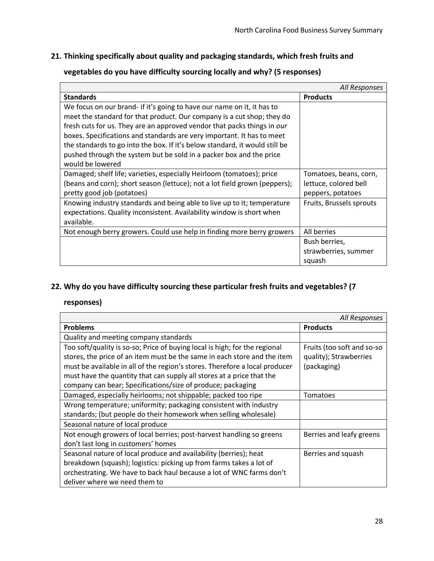# **21. Thinking specifically about quality and packaging standards, which fresh fruits and**

# **vegetables do you have difficulty sourcing locally and why? (5 responses)**

|                                                                             | All Responses            |
|-----------------------------------------------------------------------------|--------------------------|
| <b>Standards</b>                                                            | <b>Products</b>          |
| We focus on our brand- if it's going to have our name on it, it has to      |                          |
| meet the standard for that product. Our company is a cut shop; they do      |                          |
| fresh cuts for us. They are an approved vendor that packs things in our     |                          |
| boxes. Specifications and standards are very important. It has to meet      |                          |
| the standards to go into the box. If it's below standard, it would still be |                          |
| pushed through the system but be sold in a packer box and the price         |                          |
| would be lowered                                                            |                          |
| Damaged; shelf life; varieties, especially Heirloom (tomatoes); price       | Tomatoes, beans, corn,   |
| (beans and corn); short season (lettuce); not a lot field grown (peppers);  | lettuce, colored bell    |
| pretty good job (potatoes)                                                  | peppers, potatoes        |
| Knowing industry standards and being able to live up to it; temperature     | Fruits, Brussels sprouts |
| expectations. Quality inconsistent. Availability window is short when       |                          |
| available.                                                                  |                          |
| Not enough berry growers. Could use help in finding more berry growers      | All berries              |
|                                                                             | Bush berries,            |
|                                                                             | strawberries, summer     |
|                                                                             | squash                   |

# **22. Why do you have difficulty sourcing these particular fresh fruits and vegetables? (7**

#### **responses)**

|                                                                                                                                                                                                                                                                                                                                                                               | All Responses                                                       |
|-------------------------------------------------------------------------------------------------------------------------------------------------------------------------------------------------------------------------------------------------------------------------------------------------------------------------------------------------------------------------------|---------------------------------------------------------------------|
| <b>Problems</b>                                                                                                                                                                                                                                                                                                                                                               | <b>Products</b>                                                     |
| Quality and meeting company standards                                                                                                                                                                                                                                                                                                                                         |                                                                     |
| Too soft/quality is so-so; Price of buying local is high; for the regional<br>stores, the price of an item must be the same in each store and the item<br>must be available in all of the region's stores. Therefore a local producer<br>must have the quantity that can supply all stores at a price that the<br>company can bear; Specifications/size of produce; packaging | Fruits (too soft and so-so<br>quality); Strawberries<br>(packaging) |
| Damaged, especially heirlooms; not shippable; packed too ripe                                                                                                                                                                                                                                                                                                                 | <b>Tomatoes</b>                                                     |
| Wrong temperature; uniformity; packaging consistent with industry<br>standards; (but people do their homework when selling wholesale)                                                                                                                                                                                                                                         |                                                                     |
| Seasonal nature of local produce                                                                                                                                                                                                                                                                                                                                              |                                                                     |
| Not enough growers of local berries; post-harvest handling so greens<br>don't last long in customers' homes                                                                                                                                                                                                                                                                   | Berries and leafy greens                                            |
| Seasonal nature of local produce and availability (berries); heat<br>breakdown (squash); logistics: picking up from farms takes a lot of<br>orchestrating. We have to back haul because a lot of WNC farms don't<br>deliver where we need them to                                                                                                                             | Berries and squash                                                  |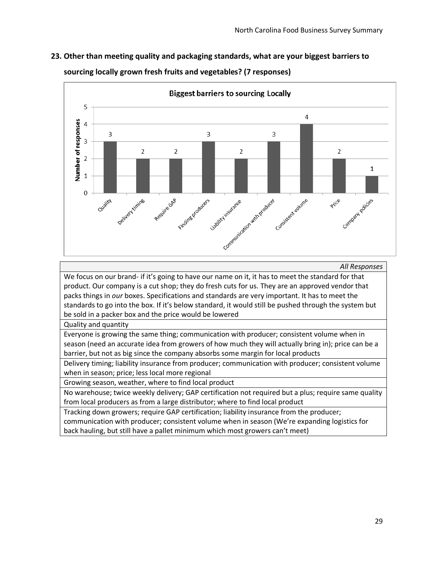



*All Responses*

We focus on our brand- if it's going to have our name on it, it has to meet the standard for that product. Our company is a cut shop; they do fresh cuts for us. They are an approved vendor that packs things in *our* boxes. Specifications and standards are very important. It has to meet the standards to go into the box. If it's below standard, it would still be pushed through the system but be sold in a packer box and the price would be lowered

Quality and quantity

Everyone is growing the same thing; communication with producer; consistent volume when in season (need an accurate idea from growers of how much they will actually bring in); price can be a barrier, but not as big since the company absorbs some margin for local products

Delivery timing; liability insurance from producer; communication with producer; consistent volume when in season; price; less local more regional

Growing season, weather, where to find local product

No warehouse; twice weekly delivery; GAP certification not required but a plus; require same quality from local producers as from a large distributor; where to find local product

Tracking down growers; require GAP certification; liability insurance from the producer;

communication with producer; consistent volume when in season (We're expanding logistics for back hauling, but still have a pallet minimum which most growers can't meet)